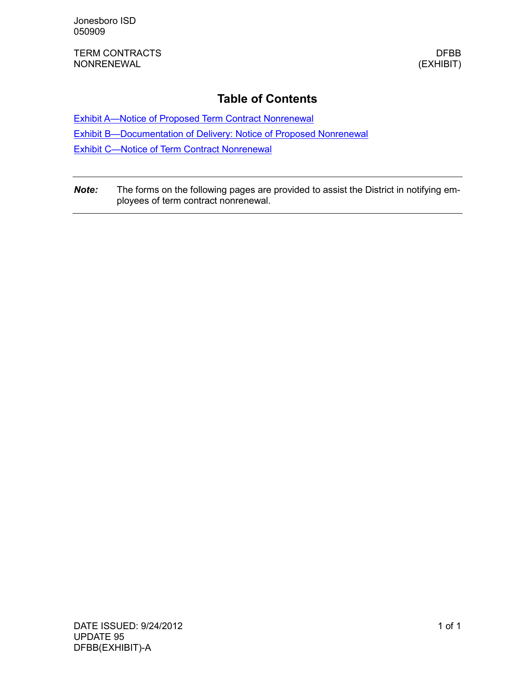TERM CONTRACTS DEBATE OF THE SERIES AND THE SERIES OF THE SERIES OF THE SERIES OF THE SERIES OF THE SERIES OF THE SERIES OF THE SERIES OF THE SERIES OF THE SERIES OF THE SERIES OF THE SERIES OF THE SERIES OF THE SERIES OF NONRENEWAL (EXHIBIT)

### **Table of Contents**

[Exhibit A—Notice of Proposed Term Contract Nonrenewal](#page-2-0)

[Exhibit B—Documentation of Delivery: Notice of Proposed Nonrenewal](#page-4-0)

[Exhibit C—Notice of Term Contract Nonrenewal](#page-6-0)

*Note:* The forms on the following pages are provided to assist the District in notifying employees of term contract nonrenewal.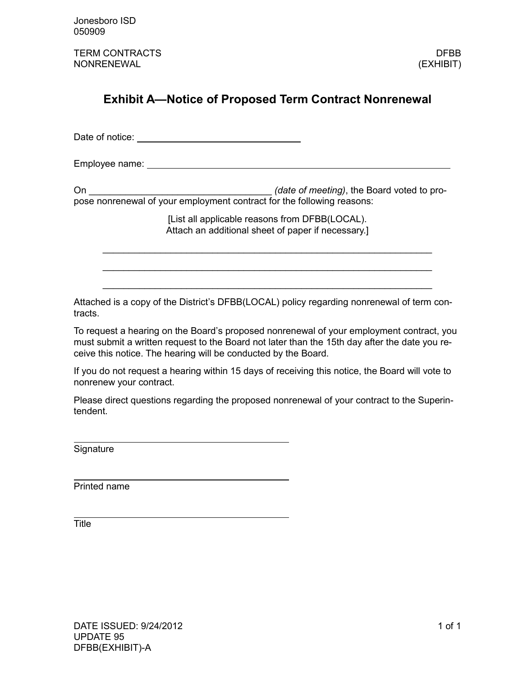TERM CONTRACTS **DEBB** NONRENEWAL (EXHIBIT)

# <span id="page-2-0"></span>**Exhibit A—Notice of Proposed Term Contract Nonrenewal**

Date of notice:

Employee name:

On \_\_\_\_\_\_\_\_\_\_\_\_\_\_\_\_\_\_\_\_\_\_\_\_\_\_\_\_\_\_\_\_\_\_\_ *(date of meeting)*, the Board voted to propose nonrenewal of your employment contract for the following reasons:

> [List all applicable reasons from DFBB(LOCAL). Attach an additional sheet of paper if necessary.]

\_\_\_\_\_\_\_\_\_\_\_\_\_\_\_\_\_\_\_\_\_\_\_\_\_\_\_\_\_\_\_\_\_\_\_\_\_\_\_\_\_\_\_\_\_\_\_\_\_\_\_\_\_\_\_\_\_\_\_\_\_\_\_

\_\_\_\_\_\_\_\_\_\_\_\_\_\_\_\_\_\_\_\_\_\_\_\_\_\_\_\_\_\_\_\_\_\_\_\_\_\_\_\_\_\_\_\_\_\_\_\_\_\_\_\_\_\_\_\_\_\_\_\_\_\_\_

\_\_\_\_\_\_\_\_\_\_\_\_\_\_\_\_\_\_\_\_\_\_\_\_\_\_\_\_\_\_\_\_\_\_\_\_\_\_\_\_\_\_\_\_\_\_\_\_\_\_\_\_\_\_\_\_\_\_\_\_\_\_\_

Attached is a copy of the District's DFBB(LOCAL) policy regarding nonrenewal of term contracts.

To request a hearing on the Board's proposed nonrenewal of your employment contract, you must submit a written request to the Board not later than the 15th day after the date you receive this notice. The hearing will be conducted by the Board.

If you do not request a hearing within 15 days of receiving this notice, the Board will vote to nonrenew your contract.

Please direct questions regarding the proposed nonrenewal of your contract to the Superintendent.

**Signature** 

Printed name

Title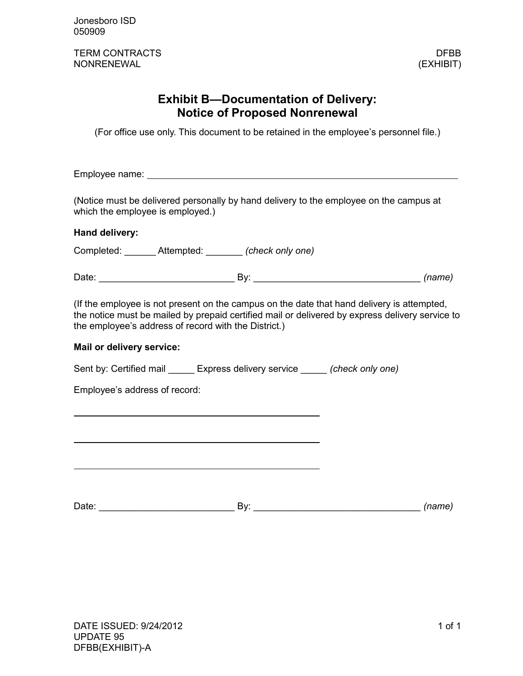TERM CONTRACTS **DEBB** NONRENEWAL (EXHIBIT)

## **Exhibit B—Documentation of Delivery: Notice of Proposed Nonrenewal**

<span id="page-4-0"></span>(For office use only. This document to be retained in the employee's personnel file.)

Employee name: with the contract of the contract of the contract of the contract of the contract of the contract of the contract of the contract of the contract of the contract of the contract of the contract of the contra

(Notice must be delivered personally by hand delivery to the employee on the campus at which the employee is employed.)

### **Hand delivery:**

Completed: \_\_\_\_\_\_ Attempted: \_\_\_\_\_\_\_ *(check only one)*

Date: example and the By: the By: the example of the example of the example of the example of the example of the example of the example of the example of the example of the example of the example of the example of the exam

(If the employee is not present on the campus on the date that hand delivery is attempted, the notice must be mailed by prepaid certified mail or delivered by express delivery service to the employee's address of record with the District.)

#### **Mail or delivery service:**

Sent by: Certified mail \_\_\_\_\_ Express delivery service \_\_\_\_\_ *(check only one)*

Employee's address of record:

Date: \_\_\_\_\_\_\_\_\_\_\_\_\_\_\_\_\_\_\_\_\_\_\_\_\_\_ By: \_\_\_\_\_\_\_\_\_\_\_\_\_\_\_\_\_\_\_\_\_\_\_\_\_\_\_\_\_\_\_\_ *(name)*